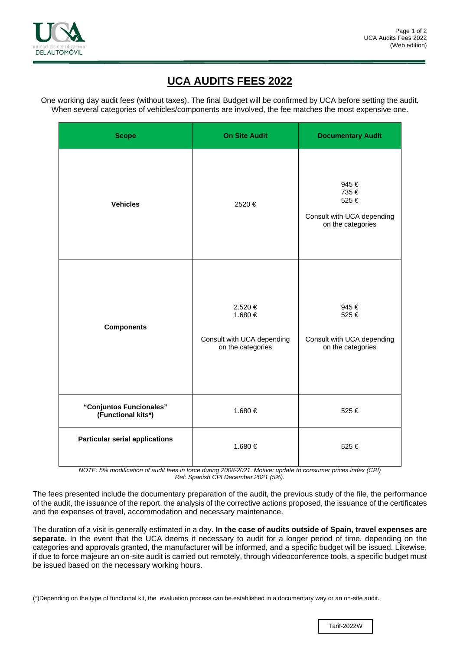

## **UCA AUDITS FEES 2022**

One working day audit fees (without taxes). The final Budget will be confirmed by UCA before setting the audit. When several categories of vehicles/components are involved, the fee matches the most expensive one.

| <b>Scope</b>                                  | <b>On Site Audit</b>                                                  | <b>Documentary Audit</b>                                                |
|-----------------------------------------------|-----------------------------------------------------------------------|-------------------------------------------------------------------------|
| <b>Vehicles</b>                               | 2520€                                                                 | 945€<br>735€<br>525€<br>Consult with UCA depending<br>on the categories |
| <b>Components</b>                             | 2.520 €<br>1.680 €<br>Consult with UCA depending<br>on the categories | 945€<br>525€<br>Consult with UCA depending<br>on the categories         |
| "Conjuntos Funcionales"<br>(Functional kits*) | 1.680 €                                                               | 525€                                                                    |
| <b>Particular serial applications</b>         | 1.680€                                                                | 525€                                                                    |

*NOTE: 5% modification of audit fees in force during 2008-2021. Motive: update to consumer prices index (CPI) Ref: Spanish CPI December 2021 (5%).*

The fees presented include the documentary preparation of the audit, the previous study of the file, the performance of the audit, the issuance of the report, the analysis of the corrective actions proposed, the issuance of the certificates and the expenses of travel, accommodation and necessary maintenance.

The duration of a visit is generally estimated in a day. **In the case of audits outside of Spain, travel expenses are separate.** In the event that the UCA deems it necessary to audit for a longer period of time, depending on the categories and approvals granted, the manufacturer will be informed, and a specific budget will be issued. Likewise, if due to force majeure an on-site audit is carried out remotely, through videoconference tools, a specific budget must be issued based on the necessary working hours.

(\*)Depending on the type of functional kit, the evaluation process can be established in a documentary way or an on-site audit.